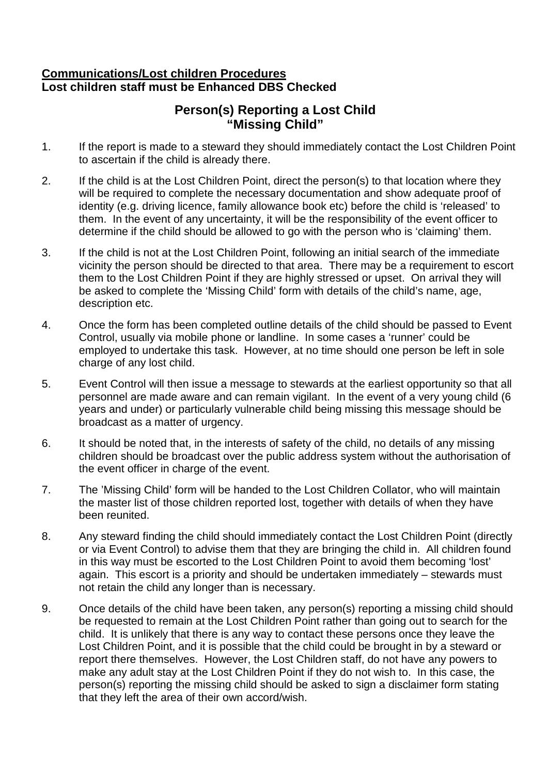### **Communications/Lost children Procedures Lost children staff must be Enhanced DBS Checked**

## **Person(s) Reporting a Lost Child "Missing Child"**

- 1. If the report is made to a steward they should immediately contact the Lost Children Point to ascertain if the child is already there.
- 2. If the child is at the Lost Children Point, direct the person(s) to that location where they will be required to complete the necessary documentation and show adequate proof of identity (e.g. driving licence, family allowance book etc) before the child is 'released' to them. In the event of any uncertainty, it will be the responsibility of the event officer to determine if the child should be allowed to go with the person who is 'claiming' them.
- 3. If the child is not at the Lost Children Point, following an initial search of the immediate vicinity the person should be directed to that area. There may be a requirement to escort them to the Lost Children Point if they are highly stressed or upset. On arrival they will be asked to complete the 'Missing Child' form with details of the child's name, age, description etc.
- 4. Once the form has been completed outline details of the child should be passed to Event Control, usually via mobile phone or landline. In some cases a 'runner' could be employed to undertake this task. However, at no time should one person be left in sole charge of any lost child.
- 5. Event Control will then issue a message to stewards at the earliest opportunity so that all personnel are made aware and can remain vigilant. In the event of a very young child (6 years and under) or particularly vulnerable child being missing this message should be broadcast as a matter of urgency.
- 6. It should be noted that, in the interests of safety of the child, no details of any missing children should be broadcast over the public address system without the authorisation of the event officer in charge of the event.
- 7. The 'Missing Child' form will be handed to the Lost Children Collator, who will maintain the master list of those children reported lost, together with details of when they have been reunited.
- 8. Any steward finding the child should immediately contact the Lost Children Point (directly or via Event Control) to advise them that they are bringing the child in. All children found in this way must be escorted to the Lost Children Point to avoid them becoming 'lost' again. This escort is a priority and should be undertaken immediately – stewards must not retain the child any longer than is necessary.
- 9. Once details of the child have been taken, any person(s) reporting a missing child should be requested to remain at the Lost Children Point rather than going out to search for the child. It is unlikely that there is any way to contact these persons once they leave the Lost Children Point, and it is possible that the child could be brought in by a steward or report there themselves. However, the Lost Children staff, do not have any powers to make any adult stay at the Lost Children Point if they do not wish to. In this case, the person(s) reporting the missing child should be asked to sign a disclaimer form stating that they left the area of their own accord/wish.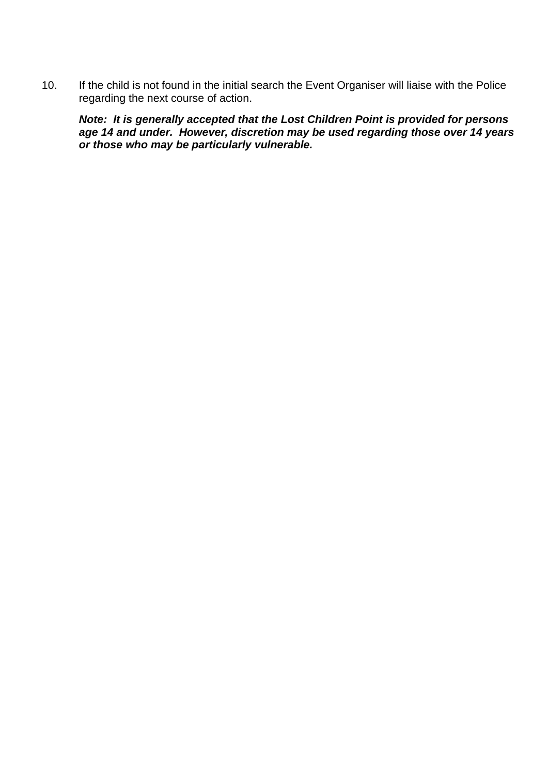10. If the child is not found in the initial search the Event Organiser will liaise with the Police regarding the next course of action.

*Note: It is generally accepted that the Lost Children Point is provided for persons age 14 and under. However, discretion may be used regarding those over 14 years or those who may be particularly vulnerable.*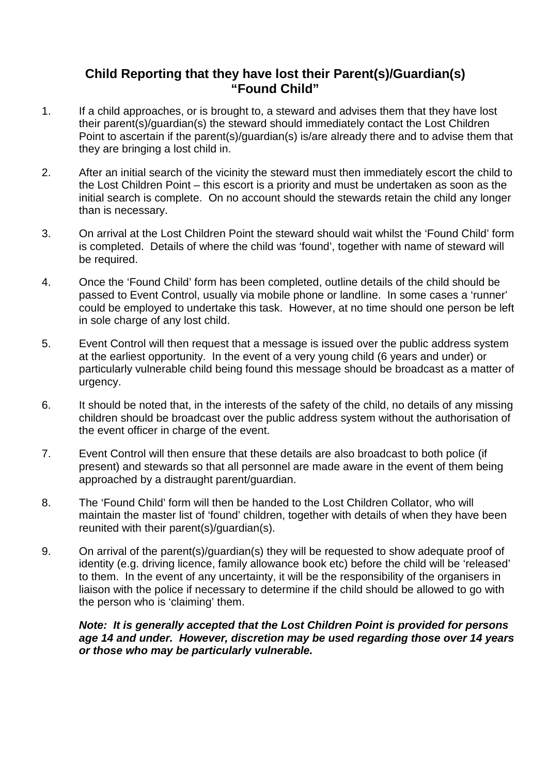## **Child Reporting that they have lost their Parent(s)/Guardian(s) "Found Child"**

- 1. If a child approaches, or is brought to, a steward and advises them that they have lost their parent(s)/guardian(s) the steward should immediately contact the Lost Children Point to ascertain if the parent(s)/guardian(s) is/are already there and to advise them that they are bringing a lost child in.
- 2. After an initial search of the vicinity the steward must then immediately escort the child to the Lost Children Point – this escort is a priority and must be undertaken as soon as the initial search is complete. On no account should the stewards retain the child any longer than is necessary.
- 3. On arrival at the Lost Children Point the steward should wait whilst the 'Found Child' form is completed. Details of where the child was 'found', together with name of steward will be required.
- 4. Once the 'Found Child' form has been completed, outline details of the child should be passed to Event Control, usually via mobile phone or landline. In some cases a 'runner' could be employed to undertake this task. However, at no time should one person be left in sole charge of any lost child.
- 5. Event Control will then request that a message is issued over the public address system at the earliest opportunity. In the event of a very young child (6 years and under) or particularly vulnerable child being found this message should be broadcast as a matter of urgency.
- 6. It should be noted that, in the interests of the safety of the child, no details of any missing children should be broadcast over the public address system without the authorisation of the event officer in charge of the event.
- 7. Event Control will then ensure that these details are also broadcast to both police (if present) and stewards so that all personnel are made aware in the event of them being approached by a distraught parent/guardian.
- 8. The 'Found Child' form will then be handed to the Lost Children Collator, who will maintain the master list of 'found' children, together with details of when they have been reunited with their parent(s)/guardian(s).
- 9. On arrival of the parent(s)/guardian(s) they will be requested to show adequate proof of identity (e.g. driving licence, family allowance book etc) before the child will be 'released' to them. In the event of any uncertainty, it will be the responsibility of the organisers in liaison with the police if necessary to determine if the child should be allowed to go with the person who is 'claiming' them.

#### *Note: It is generally accepted that the Lost Children Point is provided for persons age 14 and under. However, discretion may be used regarding those over 14 years or those who may be particularly vulnerable.*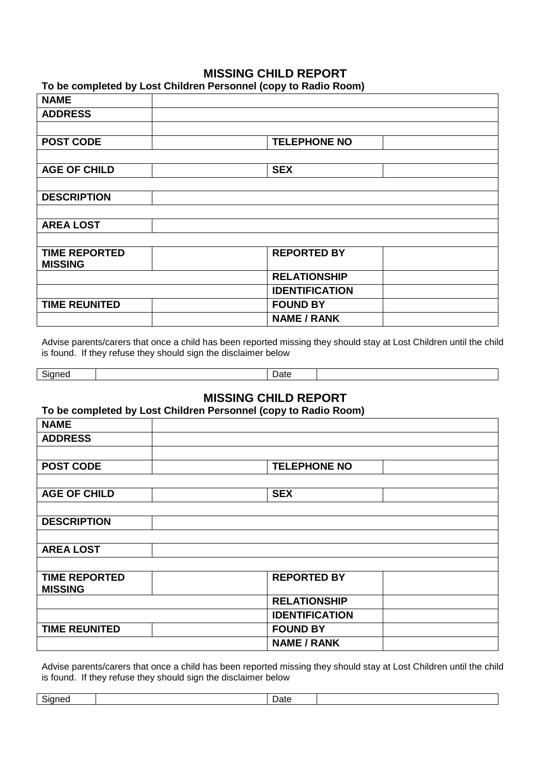#### **MISSING CHILD REPORT**

**To be completed by Lost Children Personnel (copy to Radio Room)**

| <b>NAME</b>          |                       |  |
|----------------------|-----------------------|--|
| <b>ADDRESS</b>       |                       |  |
|                      |                       |  |
| <b>POST CODE</b>     | <b>TELEPHONE NO</b>   |  |
|                      |                       |  |
| <b>AGE OF CHILD</b>  | <b>SEX</b>            |  |
|                      |                       |  |
| <b>DESCRIPTION</b>   |                       |  |
|                      |                       |  |
| <b>AREA LOST</b>     |                       |  |
|                      |                       |  |
| <b>TIME REPORTED</b> | <b>REPORTED BY</b>    |  |
| <b>MISSING</b>       |                       |  |
|                      | <b>RELATIONSHIP</b>   |  |
|                      | <b>IDENTIFICATION</b> |  |
| <b>TIME REUNITED</b> | <b>FOUND BY</b>       |  |
|                      | <b>NAME / RANK</b>    |  |

Advise parents/carers that once a child has been reported missing they should stay at Lost Children until the child is found. If they refuse they should sign the disclaimer below

| $\sim$<br>$-1.0000$<br>ומות | -<br>- Jate |  |
|-----------------------------|-------------|--|

## **MISSING CHILD REPORT**

**To be completed by Lost Children Personnel (copy to Radio Room)**

| <b>NAME</b>          |                       |  |
|----------------------|-----------------------|--|
| <b>ADDRESS</b>       |                       |  |
|                      |                       |  |
| <b>POST CODE</b>     | <b>TELEPHONE NO</b>   |  |
|                      |                       |  |
| <b>AGE OF CHILD</b>  | <b>SEX</b>            |  |
|                      |                       |  |
| <b>DESCRIPTION</b>   |                       |  |
|                      |                       |  |
| <b>AREA LOST</b>     |                       |  |
|                      |                       |  |
| <b>TIME REPORTED</b> | <b>REPORTED BY</b>    |  |
| <b>MISSING</b>       |                       |  |
|                      | <b>RELATIONSHIP</b>   |  |
|                      | <b>IDENTIFICATION</b> |  |
| <b>TIME REUNITED</b> | <b>FOUND BY</b>       |  |
|                      | <b>NAME / RANK</b>    |  |

Advise parents/carers that once a child has been reported missing they should stay at Lost Children until the child is found. If they refuse they should sign the disclaimer below

| -<br>או זו זור | Jate |  |
|----------------|------|--|